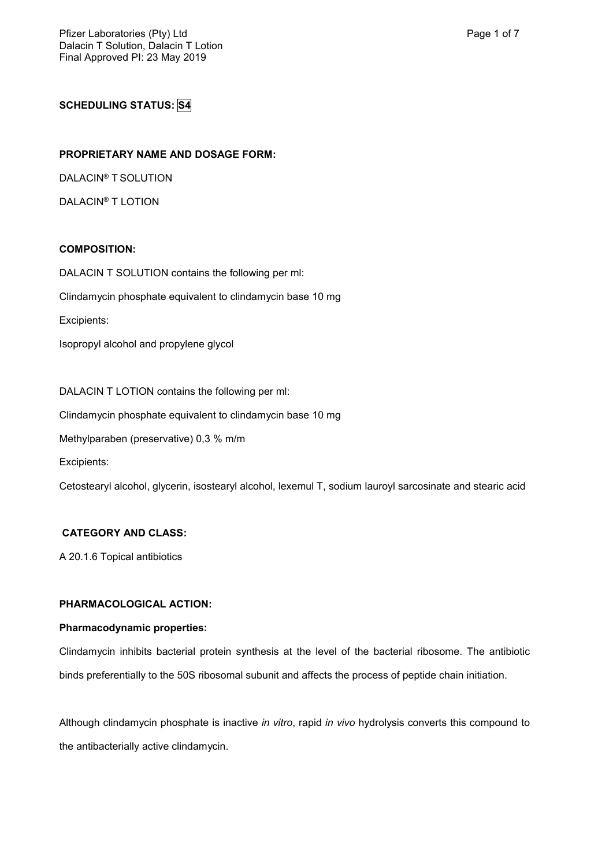**SCHEDULING STATUS: S4**

# **PROPRIETARY NAME AND DOSAGE FORM:**

DALACIN® T SOLUTION

DALACIN® T LOTION

# **COMPOSITION:**

DALACIN T SOLUTION contains the following per ml: Clindamycin phosphate equivalent to clindamycin base 10 mg

Excipients:

Isopropyl alcohol and propylene glycol

DALACIN T LOTION contains the following per ml: Clindamycin phosphate equivalent to clindamycin base 10 mg Methylparaben (preservative) 0,3 % m/m

Excipients:

Cetostearyl alcohol, glycerin, isostearyl alcohol, lexemul T, sodium lauroyl sarcosinate and stearic acid

# **CATEGORY AND CLASS:**

A 20.1.6 Topical antibiotics

# **PHARMACOLOGICAL ACTION:**

# **Pharmacodynamic properties:**

Clindamycin inhibits bacterial protein synthesis at the level of the bacterial ribosome. The antibiotic binds preferentially to the 50S ribosomal subunit and affects the process of peptide chain initiation.

Although clindamycin phosphate is inactive *in vitro*, rapid *in vivo* hydrolysis converts this compound to the antibacterially active clindamycin.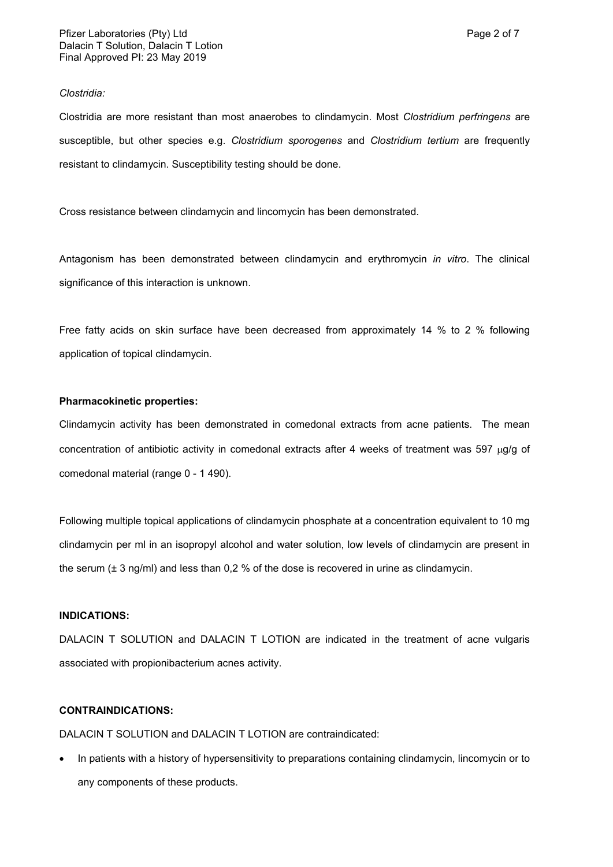#### *Clostridia:*

Clostridia are more resistant than most anaerobes to clindamycin. Most *Clostridium perfringens* are susceptible, but other species e.g. *Clostridium sporogenes* and *Clostridium tertium* are frequently resistant to clindamycin. Susceptibility testing should be done.

Cross resistance between clindamycin and lincomycin has been demonstrated.

Antagonism has been demonstrated between clindamycin and erythromycin *in vitro*. The clinical significance of this interaction is unknown.

Free fatty acids on skin surface have been decreased from approximately 14 % to 2 % following application of topical clindamycin.

#### **Pharmacokinetic properties:**

Clindamycin activity has been demonstrated in comedonal extracts from acne patients. The mean concentration of antibiotic activity in comedonal extracts after 4 weeks of treatment was 597  $\mu q/q$  of comedonal material (range 0 - 1 490).

Following multiple topical applications of clindamycin phosphate at a concentration equivalent to 10 mg clindamycin per ml in an isopropyl alcohol and water solution, low levels of clindamycin are present in the serum (± 3 ng/ml) and less than 0,2 % of the dose is recovered in urine as clindamycin.

#### **INDICATIONS:**

DALACIN T SOLUTION and DALACIN T LOTION are indicated in the treatment of acne vulgaris associated with propionibacterium acnes activity.

### **CONTRAINDICATIONS:**

DALACIN T SOLUTION and DALACIN T LOTION are contraindicated:

• In patients with a history of hypersensitivity to preparations containing clindamycin, lincomycin or to any components of these products.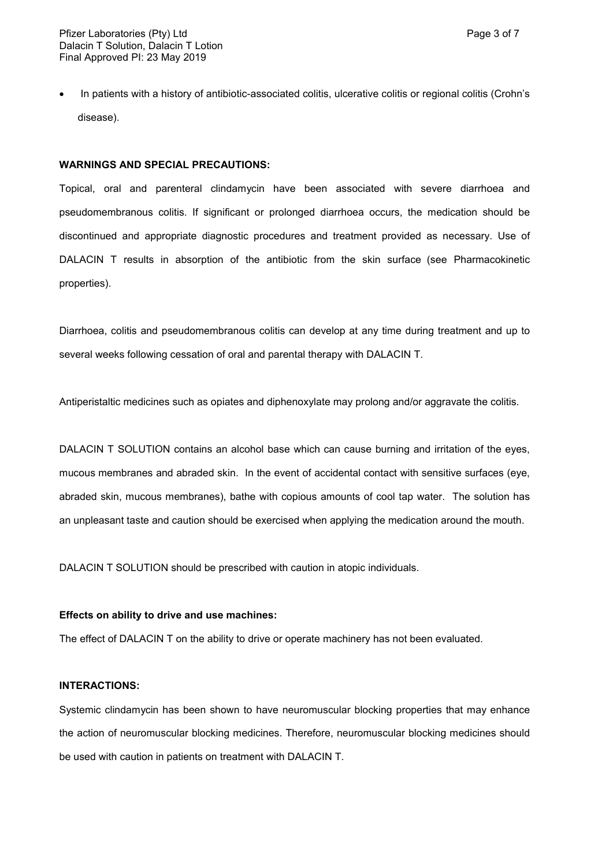In patients with a history of antibiotic-associated colitis, ulcerative colitis or regional colitis (Crohn's disease).

#### **WARNINGS AND SPECIAL PRECAUTIONS:**

Topical, oral and parenteral clindamycin have been associated with severe diarrhoea and pseudomembranous colitis. If significant or prolonged diarrhoea occurs, the medication should be discontinued and appropriate diagnostic procedures and treatment provided as necessary. Use of DALACIN T results in absorption of the antibiotic from the skin surface (see Pharmacokinetic properties).

Diarrhoea, colitis and pseudomembranous colitis can develop at any time during treatment and up to several weeks following cessation of oral and parental therapy with DALACIN T.

Antiperistaltic medicines such as opiates and diphenoxylate may prolong and/or aggravate the colitis.

DALACIN T SOLUTION contains an alcohol base which can cause burning and irritation of the eyes, mucous membranes and abraded skin. In the event of accidental contact with sensitive surfaces (eye, abraded skin, mucous membranes), bathe with copious amounts of cool tap water. The solution has an unpleasant taste and caution should be exercised when applying the medication around the mouth.

DALACIN T SOLUTION should be prescribed with caution in atopic individuals.

#### **Effects on ability to drive and use machines:**

The effect of DALACIN T on the ability to drive or operate machinery has not been evaluated.

#### **INTERACTIONS:**

Systemic clindamycin has been shown to have neuromuscular blocking properties that may enhance the action of neuromuscular blocking medicines. Therefore, neuromuscular blocking medicines should be used with caution in patients on treatment with DALACIN T.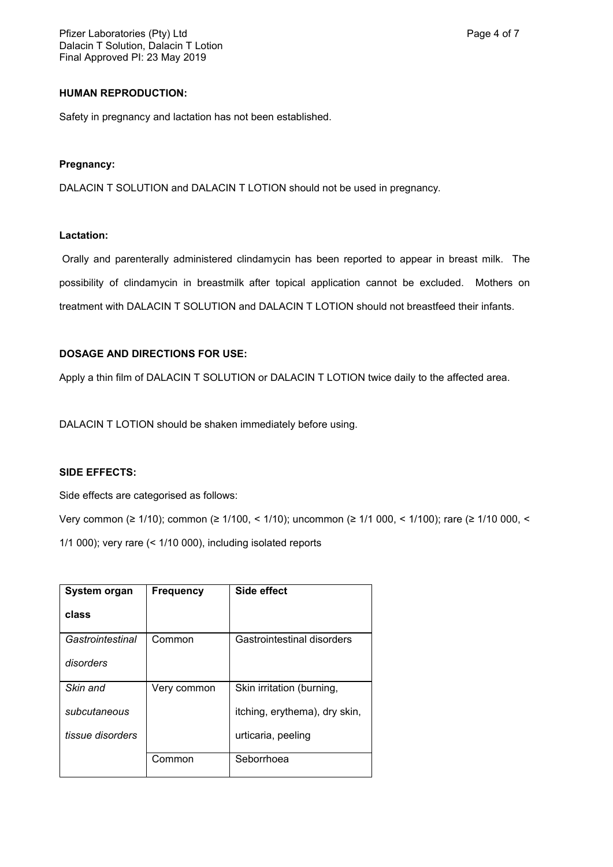### **HUMAN REPRODUCTION:**

Safety in pregnancy and lactation has not been established.

### **Pregnancy:**

DALACIN T SOLUTION and DALACIN T LOTION should not be used in pregnancy.

### **Lactation:**

Orally and parenterally administered clindamycin has been reported to appear in breast milk. The possibility of clindamycin in breastmilk after topical application cannot be excluded. Mothers on treatment with DALACIN T SOLUTION and DALACIN T LOTION should not breastfeed their infants.

### **DOSAGE AND DIRECTIONS FOR USE:**

Apply a thin film of DALACIN T SOLUTION or DALACIN T LOTION twice daily to the affected area.

DALACIN T LOTION should be shaken immediately before using.

### **SIDE EFFECTS:**

Side effects are categorised as follows:

Very common (≥ 1/10); common (≥ 1/100, < 1/10); uncommon (≥ 1/1 000, < 1/100); rare (≥ 1/10 000, < 1/1 000); very rare (< 1/10 000), including isolated reports

| System organ     | <b>Frequency</b> | Side effect                   |
|------------------|------------------|-------------------------------|
| class            |                  |                               |
| Gastrointestinal | Common           | Gastrointestinal disorders    |
| disorders        |                  |                               |
| Skin and         | Very common      | Skin irritation (burning,     |
| subcutaneous     |                  | itching, erythema), dry skin, |
| tissue disorders |                  | urticaria, peeling            |
|                  | Common           | Seborrhoea                    |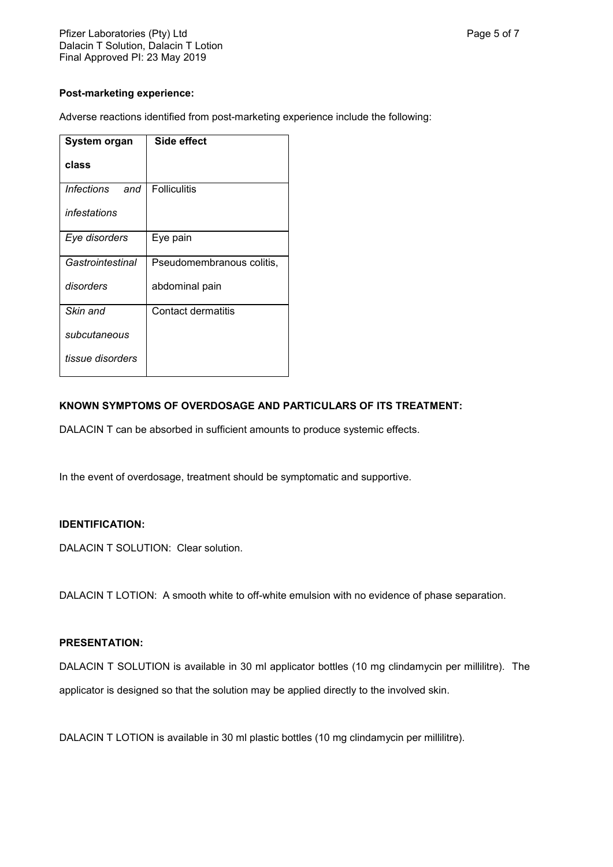# **Post-marketing experience:**

Adverse reactions identified from post-marketing experience include the following:

| System organ             | Side effect               |
|--------------------------|---------------------------|
| class                    |                           |
| <i>Infections</i><br>and | <b>Folliculitis</b>       |
| infestations             |                           |
| Eye disorders            | Eye pain                  |
| Gastrointestinal         | Pseudomembranous colitis, |
| disorders                | abdominal pain            |
| Skin and                 | Contact dermatitis        |
| subcutaneous             |                           |
| tissue disorders         |                           |

# **KNOWN SYMPTOMS OF OVERDOSAGE AND PARTICULARS OF ITS TREATMENT:**

DALACIN T can be absorbed in sufficient amounts to produce systemic effects.

In the event of overdosage, treatment should be symptomatic and supportive.

# **IDENTIFICATION:**

DALACIN T SOLUTION: Clear solution.

DALACIN T LOTION: A smooth white to off-white emulsion with no evidence of phase separation.

# **PRESENTATION:**

DALACIN T SOLUTION is available in 30 ml applicator bottles (10 mg clindamycin per millilitre). The applicator is designed so that the solution may be applied directly to the involved skin.

DALACIN T LOTION is available in 30 ml plastic bottles (10 mg clindamycin per millilitre).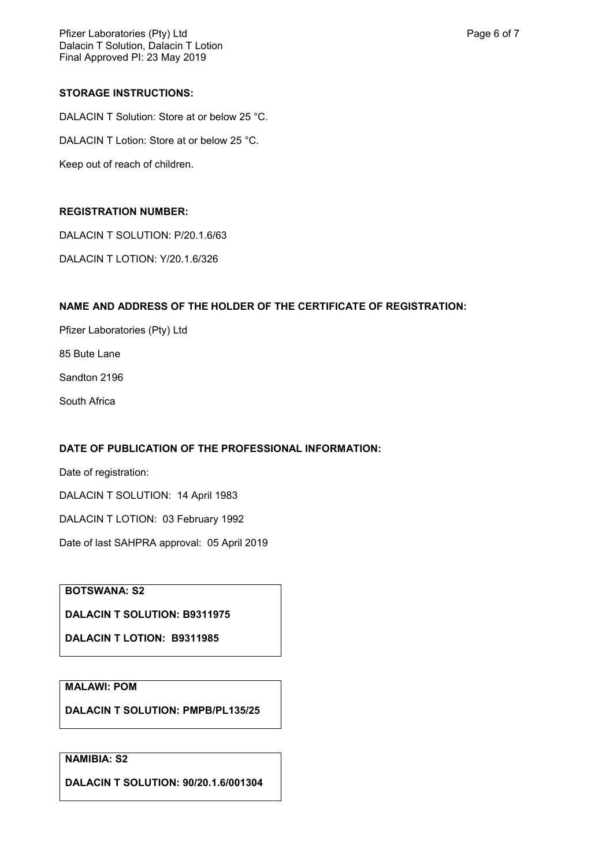Pfizer Laboratories (Pty) Ltd **Page 6 of 7** and 2011 12 and 2012 12 and 2012 12 and 2012 12 and 2012 12 and 201 Dalacin T Solution, Dalacin T Lotion Final Approved PI: 23 May 2019

### **STORAGE INSTRUCTIONS:**

DALACIN T Solution: Store at or below 25 °C. DALACIN T Lotion: Store at or below 25 °C. Keep out of reach of children.

### **REGISTRATION NUMBER:**

DALACIN T SOLUTION: P/20.1.6/63

DALACIN T LOTION: Y/20.1.6/326

#### **NAME AND ADDRESS OF THE HOLDER OF THE CERTIFICATE OF REGISTRATION:**

Pfizer Laboratories (Pty) Ltd

85 Bute Lane

Sandton 2196

South Africa

### **DATE OF PUBLICATION OF THE PROFESSIONAL INFORMATION:**

Date of registration: DALACIN T SOLUTION: 14 April 1983 DALACIN T LOTION: 03 February 1992

Date of last SAHPRA approval: 05 April 2019

# **BOTSWANA: S2**

**DALACIN T SOLUTION: B9311975**

**DALACIN T LOTION: B9311985**

# **MALAWI: POM**

**DALACIN T SOLUTION: PMPB/PL135/25**

# **NAMIBIA: S2**

**DALACIN T SOLUTION: 90/20.1.6/001304**